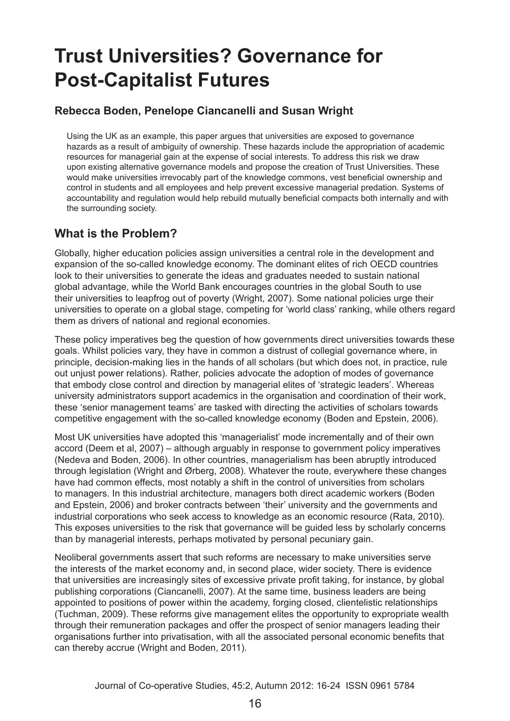# **Trust Universities? Governance for Post-Capitalist Futures**

#### **Rebecca Boden, Penelope Ciancanelli and Susan Wright**

Using the UK as an example, this paper argues that universities are exposed to governance hazards as a result of ambiguity of ownership. These hazards include the appropriation of academic resources for managerial gain at the expense of social interests. To address this risk we draw upon existing alternative governance models and propose the creation of Trust Universities. These would make universities irrevocably part of the knowledge commons, vest beneficial ownership and control in students and all employees and help prevent excessive managerial predation. Systems of accountability and regulation would help rebuild mutually beneficial compacts both internally and with the surrounding society.

#### **What is the Problem?**

Globally, higher education policies assign universities a central role in the development and expansion of the so-called knowledge economy. The dominant elites of rich OECD countries look to their universities to generate the ideas and graduates needed to sustain national global advantage, while the World Bank encourages countries in the global South to use their universities to leapfrog out of poverty (Wright, 2007). Some national policies urge their universities to operate on a global stage, competing for 'world class' ranking, while others regard them as drivers of national and regional economies.

These policy imperatives beg the question of how governments direct universities towards these goals. Whilst policies vary, they have in common a distrust of collegial governance where, in principle, decision-making lies in the hands of all scholars (but which does not, in practice, rule out unjust power relations). Rather, policies advocate the adoption of modes of governance that embody close control and direction by managerial elites of 'strategic leaders'. Whereas university administrators support academics in the organisation and coordination of their work, these 'senior management teams' are tasked with directing the activities of scholars towards competitive engagement with the so-called knowledge economy (Boden and Epstein, 2006).

Most UK universities have adopted this 'managerialist' mode incrementally and of their own accord (Deem et al, 2007) – although arguably in response to government policy imperatives (Nedeva and Boden, 2006). In other countries, managerialism has been abruptly introduced through legislation (Wright and Ørberg, 2008). Whatever the route, everywhere these changes have had common effects, most notably a shift in the control of universities from scholars to managers. In this industrial architecture, managers both direct academic workers (Boden and Epstein, 2006) and broker contracts between 'their' university and the governments and industrial corporations who seek access to knowledge as an economic resource (Rata, 2010). This exposes universities to the risk that governance will be guided less by scholarly concerns than by managerial interests, perhaps motivated by personal pecuniary gain.

Neoliberal governments assert that such reforms are necessary to make universities serve the interests of the market economy and, in second place, wider society. There is evidence that universities are increasingly sites of excessive private profit taking, for instance, by global publishing corporations (Ciancanelli, 2007). At the same time, business leaders are being appointed to positions of power within the academy, forging closed, clientelistic relationships (Tuchman, 2009). These reforms give management elites the opportunity to expropriate wealth through their remuneration packages and offer the prospect of senior managers leading their organisations further into privatisation, with all the associated personal economic benefits that can thereby accrue (Wright and Boden, 2011).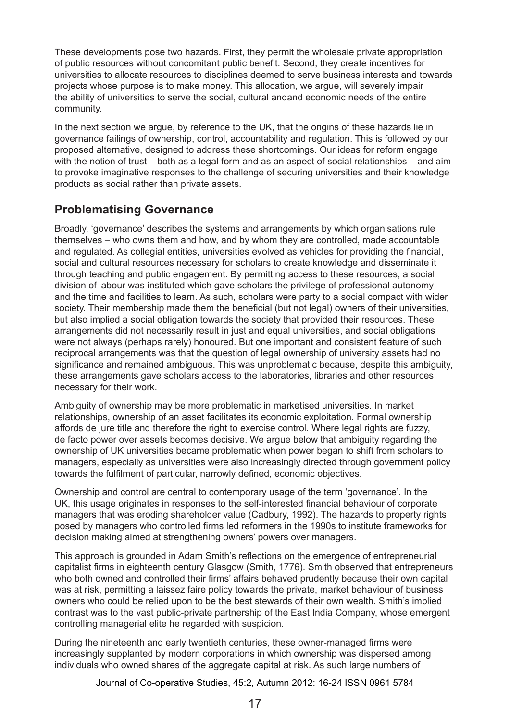These developments pose two hazards. First, they permit the wholesale private appropriation of public resources without concomitant public benefit. Second, they create incentives for universities to allocate resources to disciplines deemed to serve business interests and towards projects whose purpose is to make money. This allocation, we argue, will severely impair the ability of universities to serve the social, cultural andand economic needs of the entire community.

In the next section we argue, by reference to the UK, that the origins of these hazards lie in governance failings of ownership, control, accountability and regulation. This is followed by our proposed alternative, designed to address these shortcomings. Our ideas for reform engage with the notion of trust – both as a legal form and as an aspect of social relationships – and aim to provoke imaginative responses to the challenge of securing universities and their knowledge products as social rather than private assets.

# **Problematising Governance**

Broadly, 'governance' describes the systems and arrangements by which organisations rule themselves – who owns them and how, and by whom they are controlled, made accountable and regulated. As collegial entities, universities evolved as vehicles for providing the financial, social and cultural resources necessary for scholars to create knowledge and disseminate it through teaching and public engagement. By permitting access to these resources, a social division of labour was instituted which gave scholars the privilege of professional autonomy and the time and facilities to learn. As such, scholars were party to a social compact with wider society. Their membership made them the beneficial (but not legal) owners of their universities, but also implied a social obligation towards the society that provided their resources. These arrangements did not necessarily result in just and equal universities, and social obligations were not always (perhaps rarely) honoured. But one important and consistent feature of such reciprocal arrangements was that the question of legal ownership of university assets had no significance and remained ambiguous. This was unproblematic because, despite this ambiguity, these arrangements gave scholars access to the laboratories, libraries and other resources necessary for their work.

Ambiguity of ownership may be more problematic in marketised universities. In market relationships, ownership of an asset facilitates its economic exploitation. Formal ownership affords de jure title and therefore the right to exercise control. Where legal rights are fuzzy, de facto power over assets becomes decisive. We argue below that ambiguity regarding the ownership of UK universities became problematic when power began to shift from scholars to managers, especially as universities were also increasingly directed through government policy towards the fulfilment of particular, narrowly defined, economic objectives.

Ownership and control are central to contemporary usage of the term 'governance'. In the UK, this usage originates in responses to the self-interested financial behaviour of corporate managers that was eroding shareholder value (Cadbury, 1992). The hazards to property rights posed by managers who controlled firms led reformers in the 1990s to institute frameworks for decision making aimed at strengthening owners' powers over managers.

This approach is grounded in Adam Smith's reflections on the emergence of entrepreneurial capitalist firms in eighteenth century Glasgow (Smith, 1776). Smith observed that entrepreneurs who both owned and controlled their firms' affairs behaved prudently because their own capital was at risk, permitting a laissez faire policy towards the private, market behaviour of business owners who could be relied upon to be the best stewards of their own wealth. Smith's implied contrast was to the vast public-private partnership of the East India Company, whose emergent controlling managerial elite he regarded with suspicion.

During the nineteenth and early twentieth centuries, these owner-managed firms were increasingly supplanted by modern corporations in which ownership was dispersed among individuals who owned shares of the aggregate capital at risk. As such large numbers of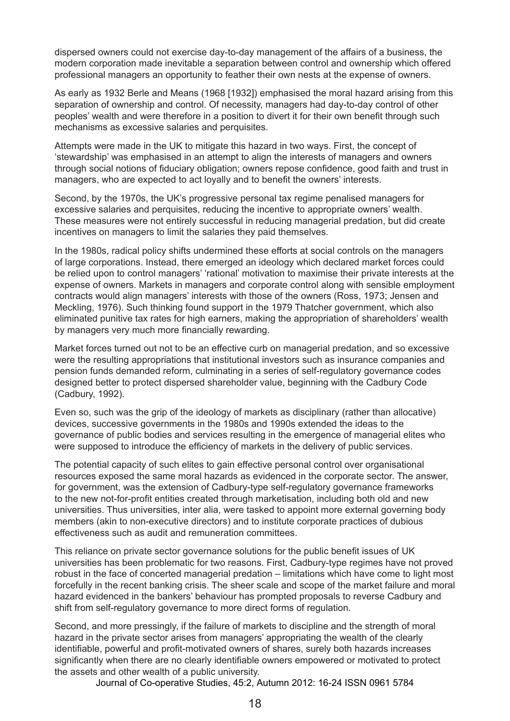dispersed owners could not exercise day-to-day management of the affairs of a business, the modern corporation made inevitable a separation between control and ownership which offered professional managers an opportunity to feather their own nests at the expense of owners.

As early as 1932 Berle and Means (1968 [1932]) emphasised the moral hazard arising from this separation of ownership and control. Of necessity, managers had day-to-day control of other peoples' wealth and were therefore in a position to divert it for their own benefit through such mechanisms as excessive salaries and perquisites.

Attempts were made in the UK to mitigate this hazard in two ways. First, the concept of 'stewardship' was emphasised in an attempt to align the interests of managers and owners through social notions of fiduciary obligation; owners repose confidence, good faith and trust in managers, who are expected to act loyally and to benefit the owners' interests.

Second, by the 1970s, the UK's progressive personal tax regime penalised managers for excessive salaries and perquisites, reducing the incentive to appropriate owners' wealth. These measures were not entirely successful in reducing managerial predation, but did create incentives on managers to limit the salaries they paid themselves.

In the 1980s, radical policy shifts undermined these efforts at social controls on the managers of large corporations. Instead, there emerged an ideology which declared market forces could be relied upon to control managers' 'rational' motivation to maximise their private interests at the expense of owners. Markets in managers and corporate control along with sensible employment contracts would align managers' interests with those of the owners (Ross, 1973; Jensen and Meckling, 1976). Such thinking found support in the 1979 Thatcher government, which also eliminated punitive tax rates for high earners, making the appropriation of shareholders' wealth by managers very much more financially rewarding.

Market forces turned out not to be an effective curb on managerial predation, and so excessive were the resulting appropriations that institutional investors such as insurance companies and pension funds demanded reform, culminating in a series of self-regulatory governance codes designed better to protect dispersed shareholder value, beginning with the Cadbury Code (Cadbury, 1992).

Even so, such was the grip of the ideology of markets as disciplinary (rather than allocative) devices, successive governments in the 1980s and 1990s extended the ideas to the governance of public bodies and services resulting in the emergence of managerial elites who were supposed to introduce the efficiency of markets in the delivery of public services.

The potential capacity of such elites to gain effective personal control over organisational resources exposed the same moral hazards as evidenced in the corporate sector. The answer, for government, was the extension of Cadbury-type self-regulatory governance frameworks to the new not-for-profit entities created through marketisation, including both old and new universities. Thus universities, inter alia, were tasked to appoint more external governing body members (akin to non-executive directors) and to institute corporate practices of dubious effectiveness such as audit and remuneration committees.

This reliance on private sector governance solutions for the public benefit issues of UK universities has been problematic for two reasons. First, Cadbury-type regimes have not proved robust in the face of concerted managerial predation – limitations which have come to light most forcefully in the recent banking crisis. The sheer scale and scope of the market failure and moral hazard evidenced in the bankers' behaviour has prompted proposals to reverse Cadbury and shift from self-regulatory governance to more direct forms of regulation.

Second, and more pressingly, if the failure of markets to discipline and the strength of moral hazard in the private sector arises from managers' appropriating the wealth of the clearly identifiable, powerful and profit-motivated owners of shares, surely both hazards increases significantly when there are no clearly identifiable owners empowered or motivated to protect the assets and other wealth of a public university.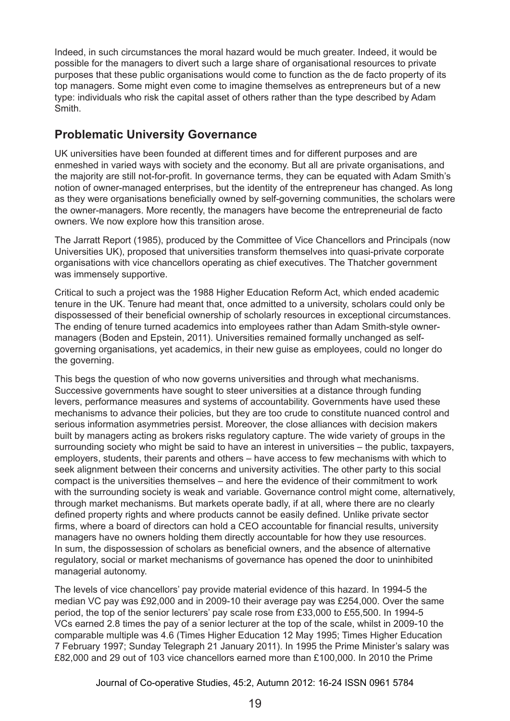Indeed, in such circumstances the moral hazard would be much greater. Indeed, it would be possible for the managers to divert such a large share of organisational resources to private purposes that these public organisations would come to function as the de facto property of its top managers. Some might even come to imagine themselves as entrepreneurs but of a new type: individuals who risk the capital asset of others rather than the type described by Adam Smith.

## **Problematic University Governance**

UK universities have been founded at different times and for different purposes and are enmeshed in varied ways with society and the economy. But all are private organisations, and the majority are still not-for-profit. In governance terms, they can be equated with Adam Smith's notion of owner-managed enterprises, but the identity of the entrepreneur has changed. As long as they were organisations beneficially owned by self-governing communities, the scholars were the owner-managers. More recently, the managers have become the entrepreneurial de facto owners. We now explore how this transition arose.

The Jarratt Report (1985), produced by the Committee of Vice Chancellors and Principals (now Universities UK), proposed that universities transform themselves into quasi-private corporate organisations with vice chancellors operating as chief executives. The Thatcher government was immensely supportive.

Critical to such a project was the 1988 Higher Education Reform Act, which ended academic tenure in the UK. Tenure had meant that, once admitted to a university, scholars could only be dispossessed of their beneficial ownership of scholarly resources in exceptional circumstances. The ending of tenure turned academics into employees rather than Adam Smith-style ownermanagers (Boden and Epstein, 2011). Universities remained formally unchanged as selfgoverning organisations, yet academics, in their new guise as employees, could no longer do the governing.

This begs the question of who now governs universities and through what mechanisms. Successive governments have sought to steer universities at a distance through funding levers, performance measures and systems of accountability. Governments have used these mechanisms to advance their policies, but they are too crude to constitute nuanced control and serious information asymmetries persist. Moreover, the close alliances with decision makers built by managers acting as brokers risks regulatory capture. The wide variety of groups in the surrounding society who might be said to have an interest in universities – the public, taxpayers, employers, students, their parents and others – have access to few mechanisms with which to seek alignment between their concerns and university activities. The other party to this social compact is the universities themselves – and here the evidence of their commitment to work with the surrounding society is weak and variable. Governance control might come, alternatively, through market mechanisms. But markets operate badly, if at all, where there are no clearly defined property rights and where products cannot be easily defined. Unlike private sector firms, where a board of directors can hold a CEO accountable for financial results, university managers have no owners holding them directly accountable for how they use resources. In sum, the dispossession of scholars as beneficial owners, and the absence of alternative regulatory, social or market mechanisms of governance has opened the door to uninhibited managerial autonomy.

The levels of vice chancellors' pay provide material evidence of this hazard. In 1994-5 the median VC pay was £92,000 and in 2009-10 their average pay was £254,000. Over the same period, the top of the senior lecturers' pay scale rose from £33,000 to £55,500. In 1994-5 VCs earned 2.8 times the pay of a senior lecturer at the top of the scale, whilst in 2009-10 the comparable multiple was 4.6 (Times Higher Education 12 May 1995; Times Higher Education 7 February 1997; Sunday Telegraph 21 January 2011). In 1995 the Prime Minister's salary was £82,000 and 29 out of 103 vice chancellors earned more than £100,000. In 2010 the Prime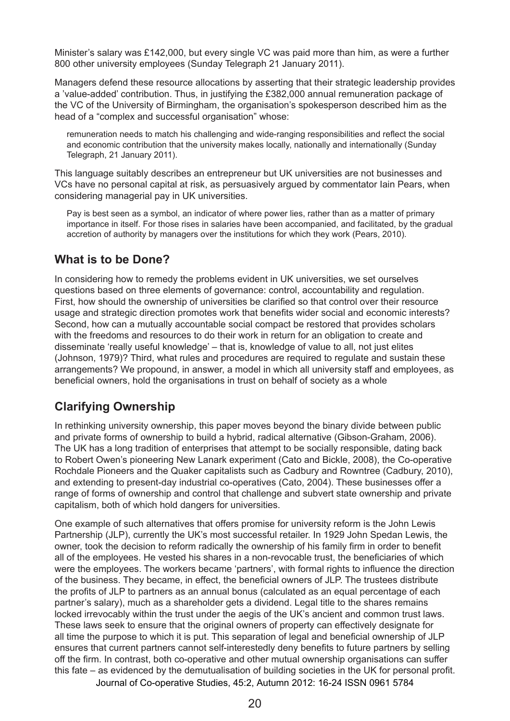Minister's salary was £142,000, but every single VC was paid more than him, as were a further 800 other university employees (Sunday Telegraph 21 January 2011).

Managers defend these resource allocations by asserting that their strategic leadership provides a 'value-added' contribution. Thus, in justifying the £382,000 annual remuneration package of the VC of the University of Birmingham, the organisation's spokesperson described him as the head of a "complex and successful organisation" whose:

remuneration needs to match his challenging and wide-ranging responsibilities and reflect the social and economic contribution that the university makes locally, nationally and internationally (Sunday Telegraph, 21 January 2011).

This language suitably describes an entrepreneur but UK universities are not businesses and VCs have no personal capital at risk, as persuasively argued by commentator Iain Pears, when considering managerial pay in UK universities.

Pay is best seen as a symbol, an indicator of where power lies, rather than as a matter of primary importance in itself. For those rises in salaries have been accompanied, and facilitated, by the gradual accretion of authority by managers over the institutions for which they work (Pears, 2010).

#### **What is to be Done?**

In considering how to remedy the problems evident in UK universities, we set ourselves questions based on three elements of governance: control, accountability and regulation. First, how should the ownership of universities be clarified so that control over their resource usage and strategic direction promotes work that benefits wider social and economic interests? Second, how can a mutually accountable social compact be restored that provides scholars with the freedoms and resources to do their work in return for an obligation to create and disseminate 'really useful knowledge' – that is, knowledge of value to all, not just elites (Johnson, 1979)? Third, what rules and procedures are required to regulate and sustain these arrangements? We propound, in answer, a model in which all university staff and employees, as beneficial owners, hold the organisations in trust on behalf of society as a whole

## **Clarifying Ownership**

In rethinking university ownership, this paper moves beyond the binary divide between public and private forms of ownership to build a hybrid, radical alternative (Gibson-Graham, 2006). The UK has a long tradition of enterprises that attempt to be socially responsible, dating back to Robert Owen's pioneering New Lanark experiment (Cato and Bickle, 2008), the Co-operative Rochdale Pioneers and the Quaker capitalists such as Cadbury and Rowntree (Cadbury, 2010), and extending to present-day industrial co-operatives (Cato, 2004). These businesses offer a range of forms of ownership and control that challenge and subvert state ownership and private capitalism, both of which hold dangers for universities.

One example of such alternatives that offers promise for university reform is the John Lewis Partnership (JLP), currently the UK's most successful retailer. In 1929 John Spedan Lewis, the owner, took the decision to reform radically the ownership of his family firm in order to benefit all of the employees. He vested his shares in a non-revocable trust, the beneficiaries of which were the employees. The workers became 'partners', with formal rights to influence the direction of the business. They became, in effect, the beneficial owners of JLP. The trustees distribute the profits of JLP to partners as an annual bonus (calculated as an equal percentage of each partner's salary), much as a shareholder gets a dividend. Legal title to the shares remains locked irrevocably within the trust under the aegis of the UK's ancient and common trust laws. These laws seek to ensure that the original owners of property can effectively designate for all time the purpose to which it is put. This separation of legal and beneficial ownership of JLP ensures that current partners cannot self-interestedly deny benefits to future partners by selling off the firm. In contrast, both co-operative and other mutual ownership organisations can suffer this fate – as evidenced by the demutualisation of building societies in the UK for personal profit.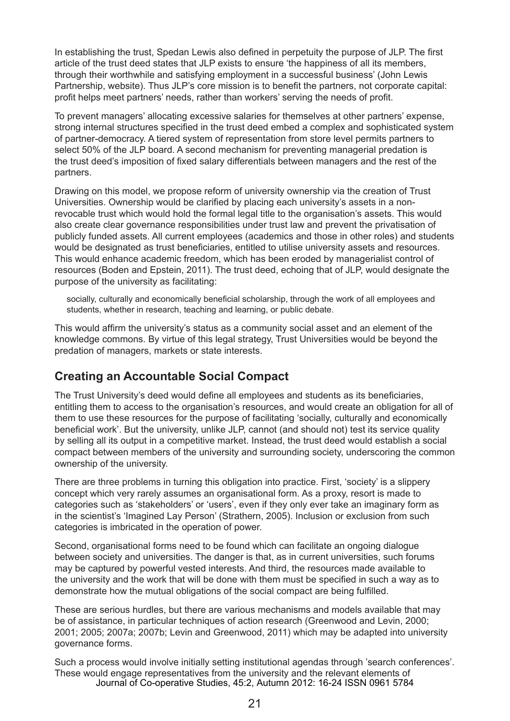In establishing the trust, Spedan Lewis also defined in perpetuity the purpose of JLP. The first article of the trust deed states that JLP exists to ensure 'the happiness of all its members, through their worthwhile and satisfying employment in a successful business' (John Lewis Partnership, website). Thus JLP's core mission is to benefit the partners, not corporate capital: profit helps meet partners' needs, rather than workers' serving the needs of profit.

To prevent managers' allocating excessive salaries for themselves at other partners' expense, strong internal structures specified in the trust deed embed a complex and sophisticated system of partner-democracy. A tiered system of representation from store level permits partners to select 50% of the JLP board. A second mechanism for preventing managerial predation is the trust deed's imposition of fixed salary differentials between managers and the rest of the partners.

Drawing on this model, we propose reform of university ownership via the creation of Trust Universities. Ownership would be clarified by placing each university's assets in a nonrevocable trust which would hold the formal legal title to the organisation's assets. This would also create clear governance responsibilities under trust law and prevent the privatisation of publicly funded assets. All current employees (academics and those in other roles) and students would be designated as trust beneficiaries, entitled to utilise university assets and resources. This would enhance academic freedom, which has been eroded by managerialist control of resources (Boden and Epstein, 2011). The trust deed, echoing that of JLP, would designate the purpose of the university as facilitating:

socially, culturally and economically beneficial scholarship, through the work of all employees and students, whether in research, teaching and learning, or public debate.

This would affirm the university's status as a community social asset and an element of the knowledge commons. By virtue of this legal strategy, Trust Universities would be beyond the predation of managers, markets or state interests.

#### **Creating an Accountable Social Compact**

The Trust University's deed would define all employees and students as its beneficiaries, entitling them to access to the organisation's resources, and would create an obligation for all of them to use these resources for the purpose of facilitating 'socially, culturally and economically beneficial work'. But the university, unlike JLP, cannot (and should not) test its service quality by selling all its output in a competitive market. Instead, the trust deed would establish a social compact between members of the university and surrounding society, underscoring the common ownership of the university.

There are three problems in turning this obligation into practice. First, 'society' is a slippery concept which very rarely assumes an organisational form. As a proxy, resort is made to categories such as 'stakeholders' or 'users', even if they only ever take an imaginary form as in the scientist's 'Imagined Lay Person' (Strathern, 2005). Inclusion or exclusion from such categories is imbricated in the operation of power.

Second, organisational forms need to be found which can facilitate an ongoing dialogue between society and universities. The danger is that, as in current universities, such forums may be captured by powerful vested interests. And third, the resources made available to the university and the work that will be done with them must be specified in such a way as to demonstrate how the mutual obligations of the social compact are being fulfilled.

These are serious hurdles, but there are various mechanisms and models available that may be of assistance, in particular techniques of action research (Greenwood and Levin, 2000; 2001; 2005; 2007a; 2007b; Levin and Greenwood, 2011) which may be adapted into university governance forms.

Such a process would involve initially setting institutional agendas through 'search conferences'. These would engage representatives from the university and the relevant elements of Journal of Co-operative Studies, 45:2, Autumn 2012: 16-24 ISSN 0961 5784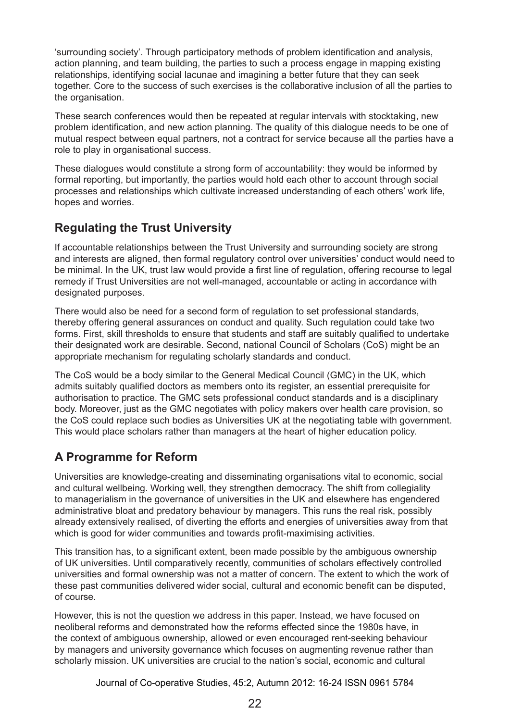'surrounding society'. Through participatory methods of problem identification and analysis, action planning, and team building, the parties to such a process engage in mapping existing relationships, identifying social lacunae and imagining a better future that they can seek together. Core to the success of such exercises is the collaborative inclusion of all the parties to the organisation.

These search conferences would then be repeated at regular intervals with stocktaking, new problem identification, and new action planning. The quality of this dialogue needs to be one of mutual respect between equal partners, not a contract for service because all the parties have a role to play in organisational success.

These dialogues would constitute a strong form of accountability: they would be informed by formal reporting, but importantly, the parties would hold each other to account through social processes and relationships which cultivate increased understanding of each others' work life, hopes and worries.

## **Regulating the Trust University**

If accountable relationships between the Trust University and surrounding society are strong and interests are aligned, then formal regulatory control over universities' conduct would need to be minimal. In the UK, trust law would provide a first line of regulation, offering recourse to legal remedy if Trust Universities are not well-managed, accountable or acting in accordance with designated purposes.

There would also be need for a second form of regulation to set professional standards, thereby offering general assurances on conduct and quality. Such regulation could take two forms. First, skill thresholds to ensure that students and staff are suitably qualified to undertake their designated work are desirable. Second, national Council of Scholars (CoS) might be an appropriate mechanism for regulating scholarly standards and conduct.

The CoS would be a body similar to the General Medical Council (GMC) in the UK, which admits suitably qualified doctors as members onto its register, an essential prerequisite for authorisation to practice. The GMC sets professional conduct standards and is a disciplinary body. Moreover, just as the GMC negotiates with policy makers over health care provision, so the CoS could replace such bodies as Universities UK at the negotiating table with government. This would place scholars rather than managers at the heart of higher education policy.

# **A Programme for Reform**

Universities are knowledge-creating and disseminating organisations vital to economic, social and cultural wellbeing. Working well, they strengthen democracy. The shift from collegiality to managerialism in the governance of universities in the UK and elsewhere has engendered administrative bloat and predatory behaviour by managers. This runs the real risk, possibly already extensively realised, of diverting the efforts and energies of universities away from that which is good for wider communities and towards profit-maximising activities.

This transition has, to a significant extent, been made possible by the ambiguous ownership of UK universities. Until comparatively recently, communities of scholars effectively controlled universities and formal ownership was not a matter of concern. The extent to which the work of these past communities delivered wider social, cultural and economic benefit can be disputed, of course.

However, this is not the question we address in this paper. Instead, we have focused on neoliberal reforms and demonstrated how the reforms effected since the 1980s have, in the context of ambiguous ownership, allowed or even encouraged rent-seeking behaviour by managers and university governance which focuses on augmenting revenue rather than scholarly mission. UK universities are crucial to the nation's social, economic and cultural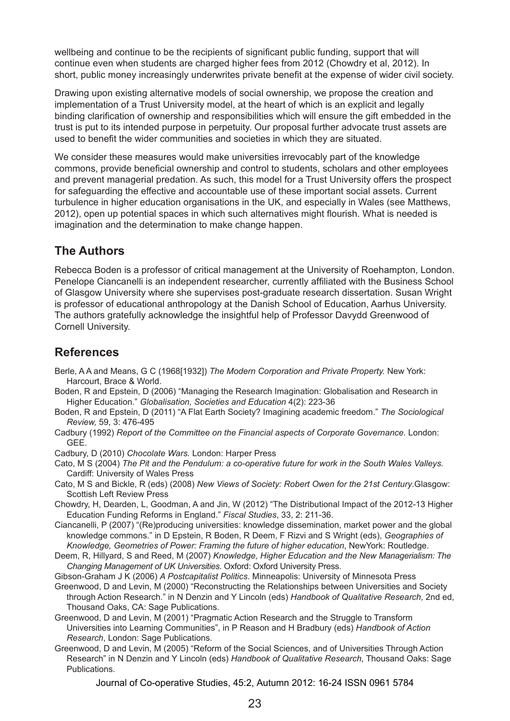wellbeing and continue to be the recipients of significant public funding, support that will continue even when students are charged higher fees from 2012 (Chowdry et al, 2012). In short, public money increasingly underwrites private benefit at the expense of wider civil society.

Drawing upon existing alternative models of social ownership, we propose the creation and implementation of a Trust University model, at the heart of which is an explicit and legally binding clarification of ownership and responsibilities which will ensure the gift embedded in the trust is put to its intended purpose in perpetuity. Our proposal further advocate trust assets are used to benefit the wider communities and societies in which they are situated.

We consider these measures would make universities irrevocably part of the knowledge commons, provide beneficial ownership and control to students, scholars and other employees and prevent managerial predation. As such, this model for a Trust University offers the prospect for safeguarding the effective and accountable use of these important social assets. Current turbulence in higher education organisations in the UK, and especially in Wales (see Matthews, 2012), open up potential spaces in which such alternatives might flourish. What is needed is imagination and the determination to make change happen.

## **The Authors**

Rebecca Boden is a professor of critical management at the University of Roehampton, London. Penelope Ciancanelli is an independent researcher, currently affiliated with the Business School of Glasgow University where she supervises post-graduate research dissertation. Susan Wright is professor of educational anthropology at the Danish School of Education, Aarhus University. The authors gratefully acknowledge the insightful help of Professor Davydd Greenwood of Cornell University.

## **References**

- Berle, A A and Means, G C (1968[1932]) *The Modern Corporation and Private Property.* New York: Harcourt, Brace & World.
- Boden, R and Epstein, D (2006) "Managing the Research Imagination: Globalisation and Research in Higher Education." *Globalisation, Societies and Education* 4(2): 223-36
- Boden, R and Epstein, D (2011) "A Flat Earth Society? Imagining academic freedom." *The Sociological Review,* 59, 3: 476-495
- Cadbury (1992) *Report of the Committee on the Financial aspects of Corporate Governance.* London: GEE.

Cadbury, D (2010) *Chocolate Wars.* London: Harper Press

- Cato, M S (2004) *The Pit and the Pendulum: a co-operative future for work in the South Wales Valleys.* Cardiff: University of Wales Press
- Cato, M S and Bickle, R (eds) (2008) *New Views of Society: Robert Owen for the 21st Century*.Glasgow: Scottish Left Review Press
- Chowdry, H, Dearden, L, Goodman, A and Jin, W (2012) "The Distributional Impact of the 2012-13 Higher Education Funding Reforms in England." *Fiscal Studies*, 33, 2: 211-36.
- Ciancanelli, P (2007) "(Re)producing universities: knowledge dissemination, market power and the global knowledge commons." in D Epstein, R Boden, R Deem, F Rizvi and S Wright (eds), *Geographies of Knowledge, Geometries of Power: Framing the future of higher education*, NewYork: Routledge.
- Deem, R, Hillyard, S and Reed, M (2007) *Knowledge, Higher Education and the New Managerialism: The Changing Management of UK Universities.* Oxford: Oxford University Press.
- Gibson-Graham J K (2006) *A Postcapitalist Politics*. Minneapolis: University of Minnesota Press
- Greenwood, D and Levin, M (2000) "Reconstructing the Relationships between Universities and Society through Action Research." in N Denzin and Y Lincoln (eds) *Handbook of Qualitative Research,* 2nd ed, Thousand Oaks, CA: Sage Publications.
- Greenwood, D and Levin, M (2001) "Pragmatic Action Research and the Struggle to Transform Universities into Learning Communities", in P Reason and H Bradbury (eds) *Handbook of Action Research*, London: Sage Publications.
- Greenwood, D and Levin, M (2005) "Reform of the Social Sciences, and of Universities Through Action Research" in N Denzin and Y Lincoln (eds) *Handbook of Qualitative Research*, Thousand Oaks: Sage Publications.